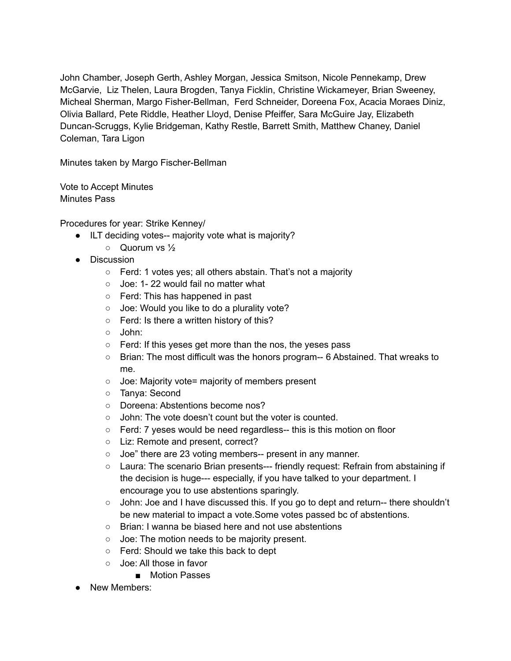John Chamber, Joseph Gerth, Ashley Morgan, Jessica Smitson, Nicole Pennekamp, Drew McGarvie, Liz Thelen, Laura Brogden, Tanya Ficklin, Christine Wickameyer, Brian Sweeney, Micheal Sherman, Margo Fisher-Bellman, Ferd Schneider, Doreena Fox, Acacia Moraes Diniz, Olivia Ballard, Pete Riddle, Heather Lloyd, Denise Pfeiffer, Sara McGuire Jay, Elizabeth Duncan-Scruggs, Kylie Bridgeman, Kathy Restle, Barrett Smith, Matthew Chaney, Daniel Coleman, Tara Ligon

Minutes taken by Margo Fischer-Bellman

Vote to Accept Minutes Minutes Pass

Procedures for year: Strike Kenney/

- ILT deciding votes-- majority vote what is majority?
	- Quorum vs ½
- Discussion
	- Ferd: 1 votes yes; all others abstain. That's not a majority
	- Joe: 1-22 would fail no matter what
	- Ferd: This has happened in past
	- Joe: Would you like to do a plurality vote?
	- Ferd: Is there a written history of this?
	- John:
	- Ferd: If this yeses get more than the nos, the yeses pass
	- Brian: The most difficult was the honors program-- 6 Abstained. That wreaks to me.
	- Joe: Majority vote= majority of members present
	- Tanya: Second
	- Doreena: Abstentions become nos?
	- John: The vote doesn't count but the voter is counted.
	- Ferd: 7 yeses would be need regardless-- this is this motion on floor
	- Liz: Remote and present, correct?
	- Joe" there are 23 voting members-- present in any manner.
	- Laura: The scenario Brian presents--- friendly request: Refrain from abstaining if the decision is huge--- especially, if you have talked to your department. I encourage you to use abstentions sparingly.
	- $\circ$  John: Joe and I have discussed this. If you go to dept and return-- there shouldn't be new material to impact a vote.Some votes passed bc of abstentions.
	- Brian: I wanna be biased here and not use abstentions
	- Joe: The motion needs to be majority present.
	- Ferd: Should we take this back to dept
	- Joe: All those in favor
		- Motion Passes
- New Members: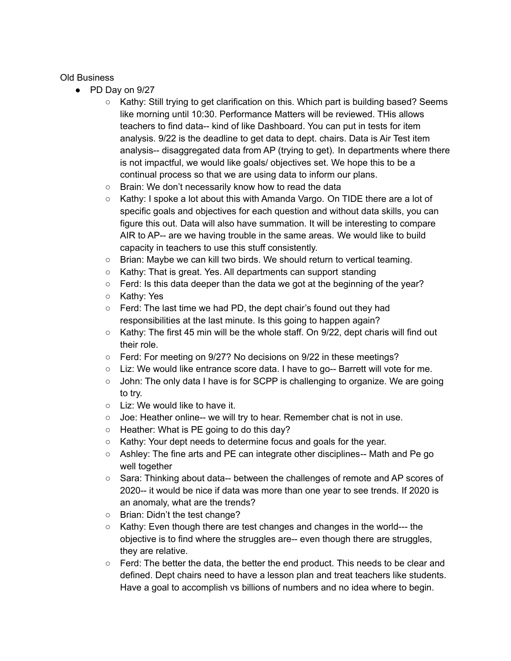Old Business

- PD Day on 9/27
	- Kathy: Still trying to get clarification on this. Which part is building based? Seems like morning until 10:30. Performance Matters will be reviewed. THis allows teachers to find data-- kind of like Dashboard. You can put in tests for item analysis. 9/22 is the deadline to get data to dept. chairs. Data is Air Test item analysis-- disaggregated data from AP (trying to get). In departments where there is not impactful, we would like goals/ objectives set. We hope this to be a continual process so that we are using data to inform our plans.
	- Brain: We don't necessarily know how to read the data
	- Kathy: I spoke a lot about this with Amanda Vargo. On TIDE there are a lot of specific goals and objectives for each question and without data skills, you can figure this out. Data will also have summation. It will be interesting to compare AIR to AP-- are we having trouble in the same areas. We would like to build capacity in teachers to use this stuff consistently.
	- Brian: Maybe we can kill two birds. We should return to vertical teaming.
	- Kathy: That is great. Yes. All departments can support standing
	- $\circ$  Ferd: Is this data deeper than the data we got at the beginning of the year?
	- Kathy: Yes
	- Ferd: The last time we had PD, the dept chair's found out they had responsibilities at the last minute. Is this going to happen again?
	- $\circ$  Kathy: The first 45 min will be the whole staff. On 9/22, dept charis will find out their role.
	- Ferd: For meeting on 9/27? No decisions on 9/22 in these meetings?
	- $\circ$  Liz: We would like entrance score data. I have to go-- Barrett will vote for me.
	- John: The only data I have is for SCPP is challenging to organize. We are going to try.
	- $\circ$  Liz: We would like to have it.
	- Joe: Heather online-- we will try to hear. Remember chat is not in use.
	- $\circ$  Heather: What is PE going to do this day?
	- Kathy: Your dept needs to determine focus and goals for the year.
	- Ashley: The fine arts and PE can integrate other disciplines-- Math and Pe go well together
	- Sara: Thinking about data-- between the challenges of remote and AP scores of 2020-- it would be nice if data was more than one year to see trends. If 2020 is an anomaly, what are the trends?
	- Brian: Didn't the test change?
	- Kathy: Even though there are test changes and changes in the world--- the objective is to find where the struggles are-- even though there are struggles, they are relative.
	- $\circ$  Ferd: The better the data, the better the end product. This needs to be clear and defined. Dept chairs need to have a lesson plan and treat teachers like students. Have a goal to accomplish vs billions of numbers and no idea where to begin.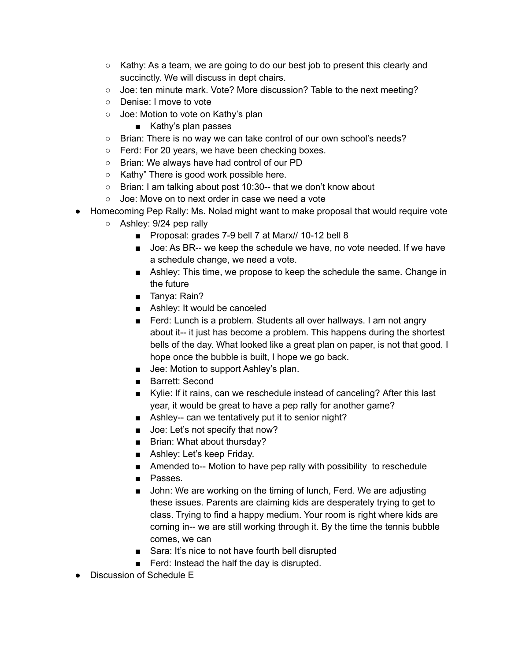- $\circ$  Kathy: As a team, we are going to do our best job to present this clearly and succinctly. We will discuss in dept chairs.
- Joe: ten minute mark. Vote? More discussion? Table to the next meeting?
- Denise: I move to vote
- Joe: Motion to vote on Kathy's plan
	- Kathy's plan passes
- Brian: There is no way we can take control of our own school's needs?
- Ferd: For 20 years, we have been checking boxes.
- Brian: We always have had control of our PD
- Kathy" There is good work possible here.
- Brian: I am talking about post 10:30-- that we don't know about
- Joe: Move on to next order in case we need a vote
- Homecoming Pep Rally: Ms. Nolad might want to make proposal that would require vote
	- Ashley: 9/24 pep rally
		- Proposal: grades 7-9 bell 7 at Marx// 10-12 bell 8
		- Joe: As BR-- we keep the schedule we have, no vote needed. If we have a schedule change, we need a vote.
		- Ashley: This time, we propose to keep the schedule the same. Change in the future
		- Tanya: Rain?
		- Ashley: It would be canceled
		- Ferd: Lunch is a problem. Students all over hallways. I am not angry about it-- it just has become a problem. This happens during the shortest bells of the day. What looked like a great plan on paper, is not that good. I hope once the bubble is built, I hope we go back.
		- Jee: Motion to support Ashley's plan.
		- Barrett: Second
		- Kylie: If it rains, can we reschedule instead of canceling? After this last year, it would be great to have a pep rally for another game?
		- Ashley-- can we tentatively put it to senior night?
		- Joe: Let's not specify that now?
		- Brian: What about thursday?
		- Ashley: Let's keep Friday.
		- Amended to-- Motion to have pep rally with possibility to reschedule
		- Passes.
		- John: We are working on the timing of lunch, Ferd. We are adjusting these issues. Parents are claiming kids are desperately trying to get to class. Trying to find a happy medium. Your room is right where kids are coming in-- we are still working through it. By the time the tennis bubble comes, we can
		- Sara: It's nice to not have fourth bell disrupted
		- Ferd: Instead the half the day is disrupted.
- Discussion of Schedule E